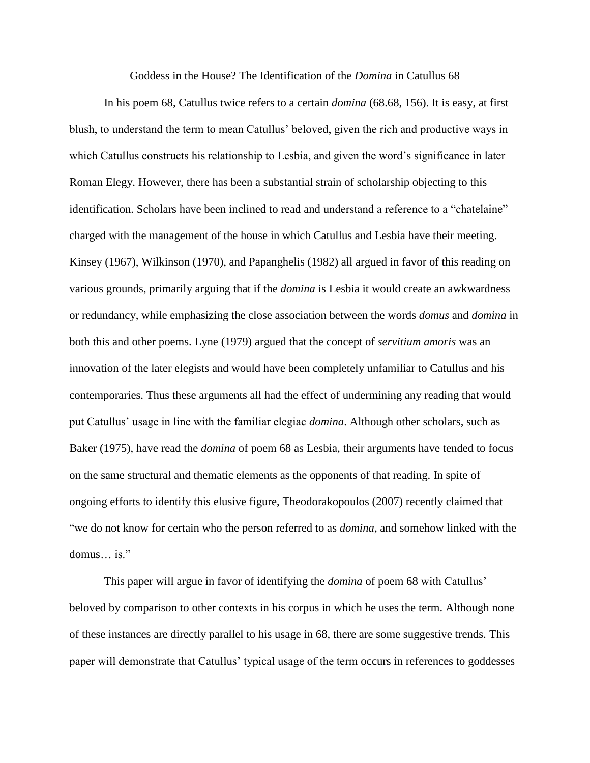Goddess in the House? The Identification of the *Domina* in Catullus 68

In his poem 68, Catullus twice refers to a certain *domina* (68.68, 156). It is easy, at first blush, to understand the term to mean Catullus' beloved, given the rich and productive ways in which Catullus constructs his relationship to Lesbia, and given the word's significance in later Roman Elegy. However, there has been a substantial strain of scholarship objecting to this identification. Scholars have been inclined to read and understand a reference to a "chatelaine" charged with the management of the house in which Catullus and Lesbia have their meeting. Kinsey (1967), Wilkinson (1970), and Papanghelis (1982) all argued in favor of this reading on various grounds, primarily arguing that if the *domina* is Lesbia it would create an awkwardness or redundancy, while emphasizing the close association between the words *domus* and *domina* in both this and other poems. Lyne (1979) argued that the concept of *servitium amoris* was an innovation of the later elegists and would have been completely unfamiliar to Catullus and his contemporaries. Thus these arguments all had the effect of undermining any reading that would put Catullus' usage in line with the familiar elegiac *domina*. Although other scholars, such as Baker (1975), have read the *domina* of poem 68 as Lesbia, their arguments have tended to focus on the same structural and thematic elements as the opponents of that reading. In spite of ongoing efforts to identify this elusive figure, Theodorakopoulos (2007) recently claimed that "we do not know for certain who the person referred to as *domina*, and somehow linked with the domus… is."

This paper will argue in favor of identifying the *domina* of poem 68 with Catullus' beloved by comparison to other contexts in his corpus in which he uses the term. Although none of these instances are directly parallel to his usage in 68, there are some suggestive trends. This paper will demonstrate that Catullus' typical usage of the term occurs in references to goddesses